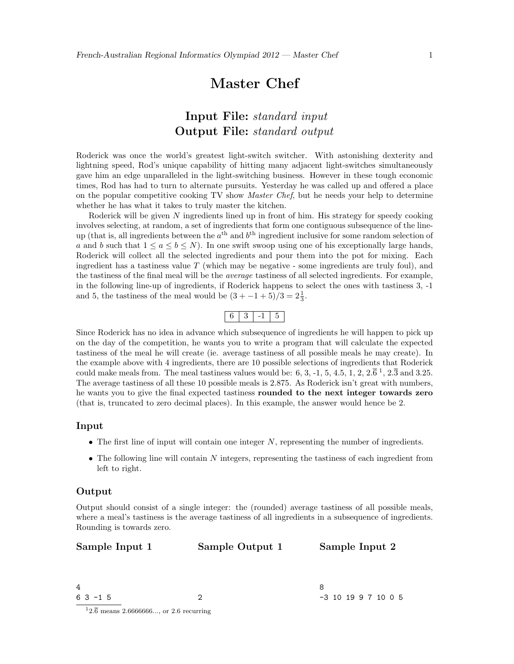# Master Chef

## Input File: standard input Output File: standard output

Roderick was once the world's greatest light-switch switcher. With astonishing dexterity and lightning speed, Rod's unique capability of hitting many adjacent light-switches simultaneously gave him an edge unparalleled in the light-switching business. However in these tough economic times, Rod has had to turn to alternate pursuits. Yesterday he was called up and offered a place on the popular competitive cooking TV show Master Chef, but he needs your help to determine whether he has what it takes to truly master the kitchen.

Roderick will be given  $N$  ingredients lined up in front of him. His strategy for speedy cooking involves selecting, at random, a set of ingredients that form one contiguous subsequence of the lineup (that is, all ingredients between the  $a<sup>th</sup>$  and  $b<sup>th</sup>$  ingredient inclusive for some random selection of a and b such that  $1 \le a \le b \le N$ ). In one swift swoop using one of his exceptionally large hands, Roderick will collect all the selected ingredients and pour them into the pot for mixing. Each ingredient has a tastiness value  $T$  (which may be negative - some ingredients are truly foul), and the tastiness of the final meal will be the average tastiness of all selected ingredients. For example, in the following line-up of ingredients, if Roderick happens to select the ones with tastiness 3, -1 and 5, the tastiness of the meal would be  $(3 + -1 + 5)/3 = 2\frac{1}{3}$ .



Since Roderick has no idea in advance which subsequence of ingredients he will happen to pick up on the day of the competition, he wants you to write a program that will calculate the expected tastiness of the meal he will create (ie. average tastiness of all possible meals he may create). In the example above with 4 ingredients, there are 10 possible selections of ingredients that Roderick could make meals from. The meal tastiness values would be: 6, 3, -1, 5, 4.5, 1, 2,  $2.\overline{6}^1$ ,  $2.\overline{3}$  and 3.25. The average tastiness of all these 10 possible meals is 2.875. As Roderick isn't great with numbers, he wants you to give the final expected tastiness rounded to the next integer towards zero (that is, truncated to zero decimal places). In this example, the answer would hence be 2.

#### Input

- The first line of input will contain one integer  $N$ , representing the number of ingredients.
- $\bullet$  The following line will contain N integers, representing the tastiness of each ingredient from left to right.

#### Output

Output should consist of a single integer: the (rounded) average tastiness of all possible meals, where a meal's tastiness is the average tastiness of all ingredients in a subsequence of ingredients. Rounding is towards zero.

Sample Input 1

Sample Output 1

Sample Input 2

4 6 3 -1 5 2

<sup>8</sup> -3 10 19 9 7 10 0 5

 $12.\overline{6}$  means 2.6666666..., or 2.6 recurring